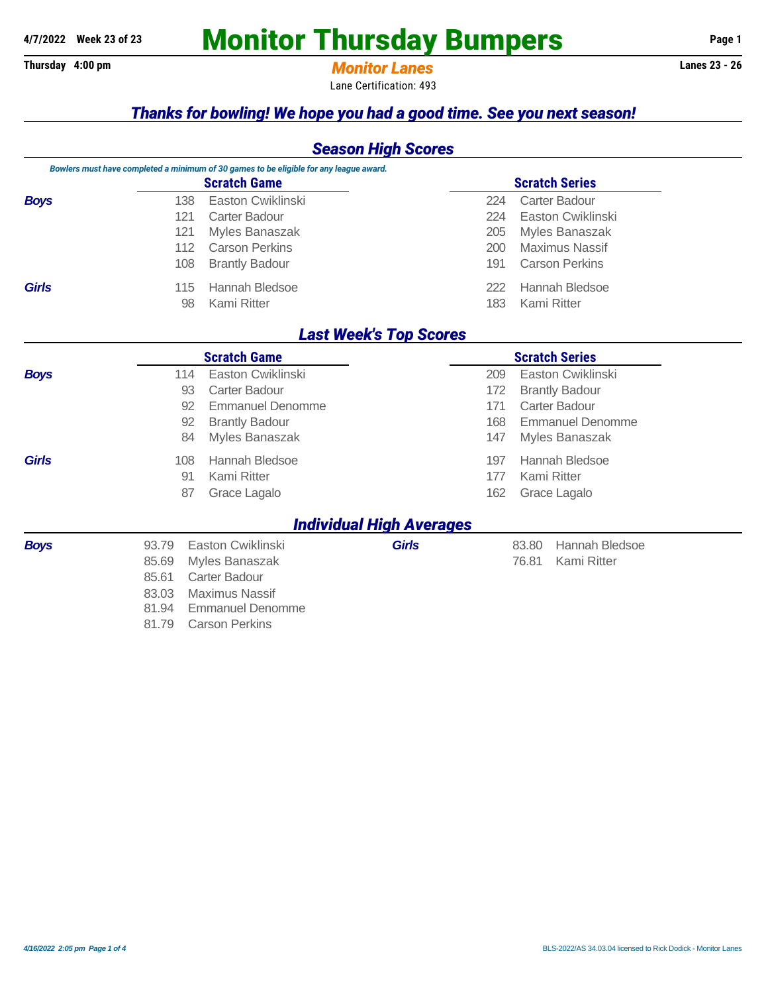# A/7/2022 Week 23 of 23 **Monitor Thursday Bumpers** Page 1

## **Thursday 4:00 pm** *Monitor Lanes* **Lanes 23 - 26**

Lane Certification: 493

## *Thanks for bowling! We hope you had a good time. See you next season!*

## *Season High Scores*

|              | Bowlers must have completed a minimum of 30 games to be eligible for any league award. |                       |                               |  |  |  |
|--------------|----------------------------------------------------------------------------------------|-----------------------|-------------------------------|--|--|--|
|              | <b>Scratch Game</b>                                                                    | <b>Scratch Series</b> |                               |  |  |  |
| <b>Boys</b>  | Easton Cwiklinski<br>138                                                               | 224                   | Carter Badour                 |  |  |  |
|              | Carter Badour<br>121                                                                   | 224                   | Easton Cwiklinski             |  |  |  |
|              | Myles Banaszak<br>121                                                                  | 205                   | Myles Banaszak                |  |  |  |
|              | <b>Carson Perkins</b><br>112                                                           | 200                   | <b>Maximus Nassif</b>         |  |  |  |
|              | <b>Brantly Badour</b><br>108                                                           | 191                   | <b>Carson Perkins</b>         |  |  |  |
| <b>Girls</b> | Hannah Bledsoe<br>115.<br>Kami Ritter<br>98                                            | 222<br>183            | Hannah Bledsoe<br>Kami Ritter |  |  |  |

## *Last Week's Top Scores*

| <b>Scratch Game</b> |                                  |                                 | <b>Scratch Series</b>          |
|---------------------|----------------------------------|---------------------------------|--------------------------------|
| <b>Boys</b>         | Easton Cwiklinski<br>114         |                                 | Easton Cwiklinski<br>209       |
|                     | Carter Badour<br>93              |                                 | <b>Brantly Badour</b><br>172   |
|                     | <b>Emmanuel Denomme</b><br>92    |                                 | Carter Badour<br>171           |
|                     | <b>Brantly Badour</b><br>92      |                                 | <b>Emmanuel Denomme</b><br>168 |
|                     | Myles Banaszak<br>84             |                                 | Myles Banaszak<br>147          |
| <b>Girls</b>        | Hannah Bledsoe<br>108            |                                 | Hannah Bledsoe<br>197          |
|                     | Kami Ritter<br>91                |                                 | Kami Ritter<br>177             |
|                     | 87<br>Grace Lagalo               |                                 | 162<br>Grace Lagalo            |
|                     |                                  | <b>Individual High Averages</b> |                                |
| <b>Boys</b>         | Easton Cwiklinski<br>93.79       | <b>Girls</b>                    | Hannah Bledsoe<br>83.80        |
|                     | 85.69<br>Myles Banaszak          |                                 | 76.81<br>Kami Ritter           |
|                     | 85.61<br>Carter Badour           |                                 |                                |
|                     | 83.03<br>Maximus Nassif          |                                 |                                |
|                     | 81.94<br><b>Emmanuel Denomme</b> |                                 |                                |
|                     | 81.79<br><b>Carson Perkins</b>   |                                 |                                |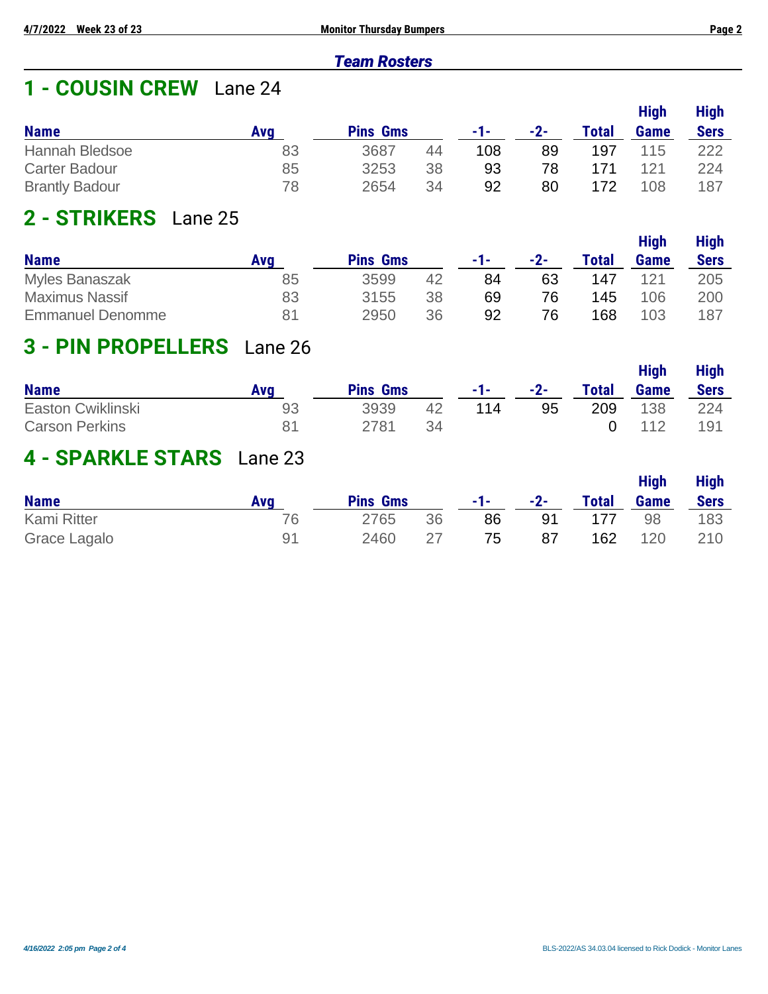### *Team Rosters*

## **1 - COUSIN CREW** Lane 24

|                       |     |                 |    |     |       |              | <b>High</b> | <b>High</b> |
|-----------------------|-----|-----------------|----|-----|-------|--------------|-------------|-------------|
| <b>Name</b>           | Ava | <b>Pins Gms</b> |    | -1- | $-2-$ | <b>Total</b> | Game        | <b>Sers</b> |
| Hannah Bledsoe        | 83  | 3687            | 44 | 108 | 89    | 197          | 115         | 222         |
| <b>Carter Badour</b>  | 85  | 3253            | 38 | 93  | 78    | 171          | 121         | 224         |
| <b>Brantly Badour</b> | 78  | 2654            | 34 | 92  | 80    | 172          | 108         | 187         |

## **2 - STRIKERS** Lane 25

|                         |     |                 |    |     |       |              | <b>High</b> | <b>High</b> |
|-------------------------|-----|-----------------|----|-----|-------|--------------|-------------|-------------|
| <b>Name</b>             | Ava | <b>Pins Gms</b> |    | -1- | $-2-$ | <b>Total</b> | <b>Game</b> | <b>Sers</b> |
| <b>Myles Banaszak</b>   | 85  | 3599            | 42 | 84  | 63    | 147          | 121         | 205         |
| <b>Maximus Nassif</b>   | 83  | 3155            | 38 | 69  | 76    | 145          | 106         | 200         |
| <b>Emmanuel Denomme</b> | 81  | 2950            | 36 | 92  | 76    | 168          | 103         | 187         |

## **3 - PIN PROPELLERS** Lane 26

|                       |            |                 |     |       |       |              | <b>High</b> | <b>High</b> |
|-----------------------|------------|-----------------|-----|-------|-------|--------------|-------------|-------------|
| <b>Name</b>           | <b>Ava</b> | <b>Pins Gms</b> |     | $-1-$ | $-2-$ | <b>Total</b> | Game        | <b>Sers</b> |
| Easton Cwiklinski     | 93         | 3939            | 42  | 114   | 95    | 209          | 138         | 224         |
| <b>Carson Perkins</b> | 81         | 2781            | -34 |       |       |              | 112         | 191         |

## **4 - SPARKLE STARS** Lane 23

| <b>Name</b>        | Ava | <b>Pins Gms</b> |     | -1-1 | $-2-$ | <b>Total</b> | <b>High</b><br>Game | <b>High</b><br><b>Sers</b> |
|--------------------|-----|-----------------|-----|------|-------|--------------|---------------------|----------------------------|
| <b>Kami Ritter</b> | 76  | 2765            | 36  | 86   | 91    | 177          | 98                  | 183                        |
| Grace Lagalo       | Q1  | 2460            | -27 | 75   | 87    | 162          | 120                 | 210                        |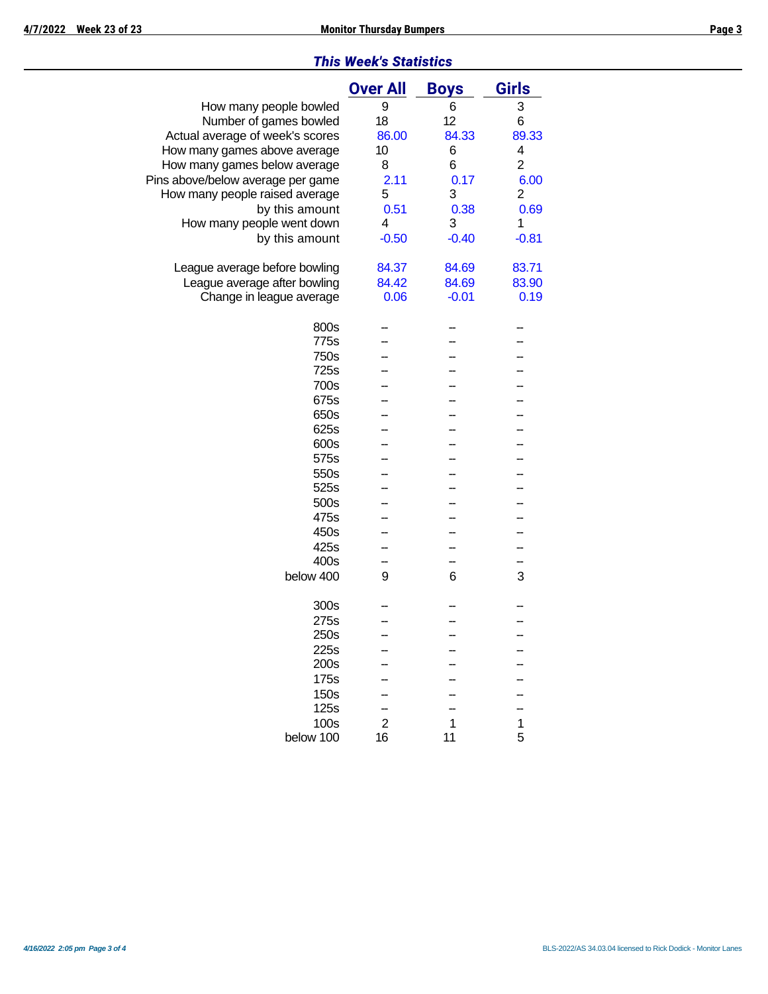### *This Week's Statistics*

|                                   | <b>Over All</b> | <b>Boys</b> | <b>Girls</b>   |
|-----------------------------------|-----------------|-------------|----------------|
| How many people bowled            | 9               | 6           | 3              |
| Number of games bowled            | 18              | 12          | 6              |
|                                   | 86.00           | 84.33       |                |
| Actual average of week's scores   |                 |             | 89.33          |
| How many games above average      | 10              | 6           | 4              |
| How many games below average      | 8               | 6           | $\overline{c}$ |
| Pins above/below average per game | 2.11            | 0.17        | 6.00           |
| How many people raised average    | 5               | 3           | $\overline{2}$ |
| by this amount                    | 0.51            | 0.38        | 0.69           |
| How many people went down         | 4               | 3           | 1              |
| by this amount                    | $-0.50$         | $-0.40$     | $-0.81$        |
|                                   |                 |             |                |
| League average before bowling     | 84.37           | 84.69       | 83.71          |
| League average after bowling      | 84.42           | 84.69       | 83.90          |
| Change in league average          | 0.06            | $-0.01$     | 0.19           |
|                                   |                 |             |                |
| 800s                              |                 |             |                |
| 775s                              |                 |             |                |
| 750s                              |                 |             |                |
| 725s                              |                 |             |                |
| 700s                              |                 |             |                |
| 675s                              |                 |             |                |
| 650s                              |                 |             |                |
| 625s                              |                 |             |                |
| 600s                              |                 |             |                |
| 575s                              |                 |             |                |
| 550s                              |                 |             |                |
| 525s                              |                 |             |                |
|                                   |                 |             |                |
| 500s                              |                 |             |                |
| 475s                              |                 |             |                |
| 450s                              |                 |             |                |
| 425s                              |                 |             |                |
| 400s                              |                 |             |                |
| below 400                         | 9               | 6           | 3              |
|                                   |                 |             |                |
| 300s                              |                 |             |                |
| 275s                              |                 |             |                |
| 250s                              |                 |             |                |
| 225s                              |                 |             |                |
| 200s                              |                 |             |                |
| 175s                              |                 |             |                |
| 150s                              |                 |             |                |
| 125s                              |                 |             |                |
| 100s                              | $\overline{c}$  | 1           | 1              |
| below 100                         | 16              | 11          | 5              |
|                                   |                 |             |                |